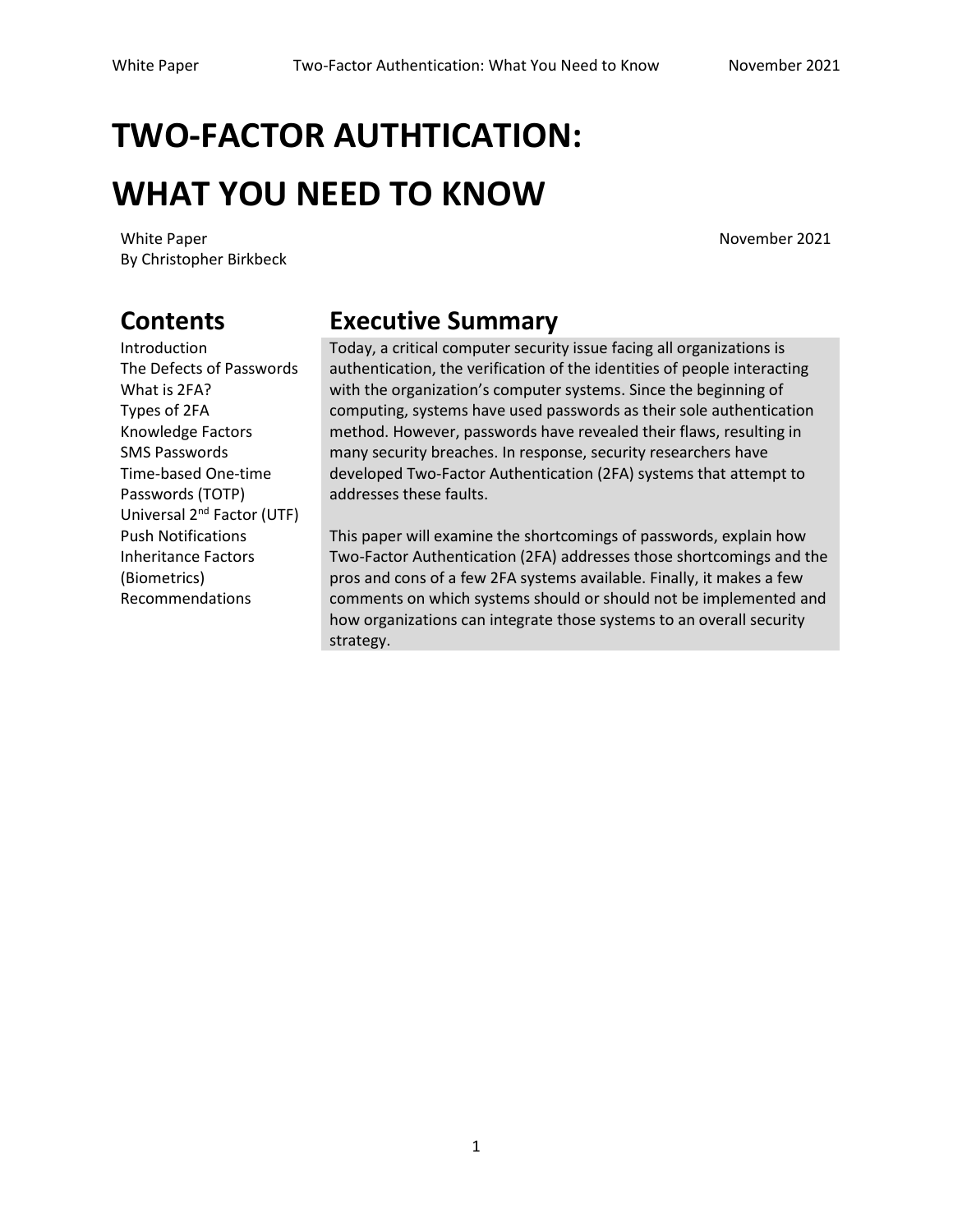# **TWO-FACTOR AUTHTICATION: WHAT YOU NEED TO KNOW**

White Paper November 2021 By Christopher Birkbeck

Introduction The Defects of Passwords What is 2FA? Types of 2FA Knowledge Factors SMS Passwords Time-based One-time Passwords (TOTP) Universal 2<sup>nd</sup> Factor (UTF) Push Notifications Inheritance Factors (Biometrics) Recommendations

### **Contents Executive Summary**

Today, a critical computer security issue facing all organizations is authentication, the verification of the identities of people interacting with the organization's computer systems. Since the beginning of computing, systems have used passwords as their sole authentication method. However, passwords have revealed their flaws, resulting in many security breaches. In response, security researchers have developed Two-Factor Authentication (2FA) systems that attempt to addresses these faults.

This paper will examine the shortcomings of passwords, explain how Two-Factor Authentication (2FA) addresses those shortcomings and the pros and cons of a few 2FA systems available. Finally, it makes a few comments on which systems should or should not be implemented and how organizations can integrate those systems to an overall security strategy.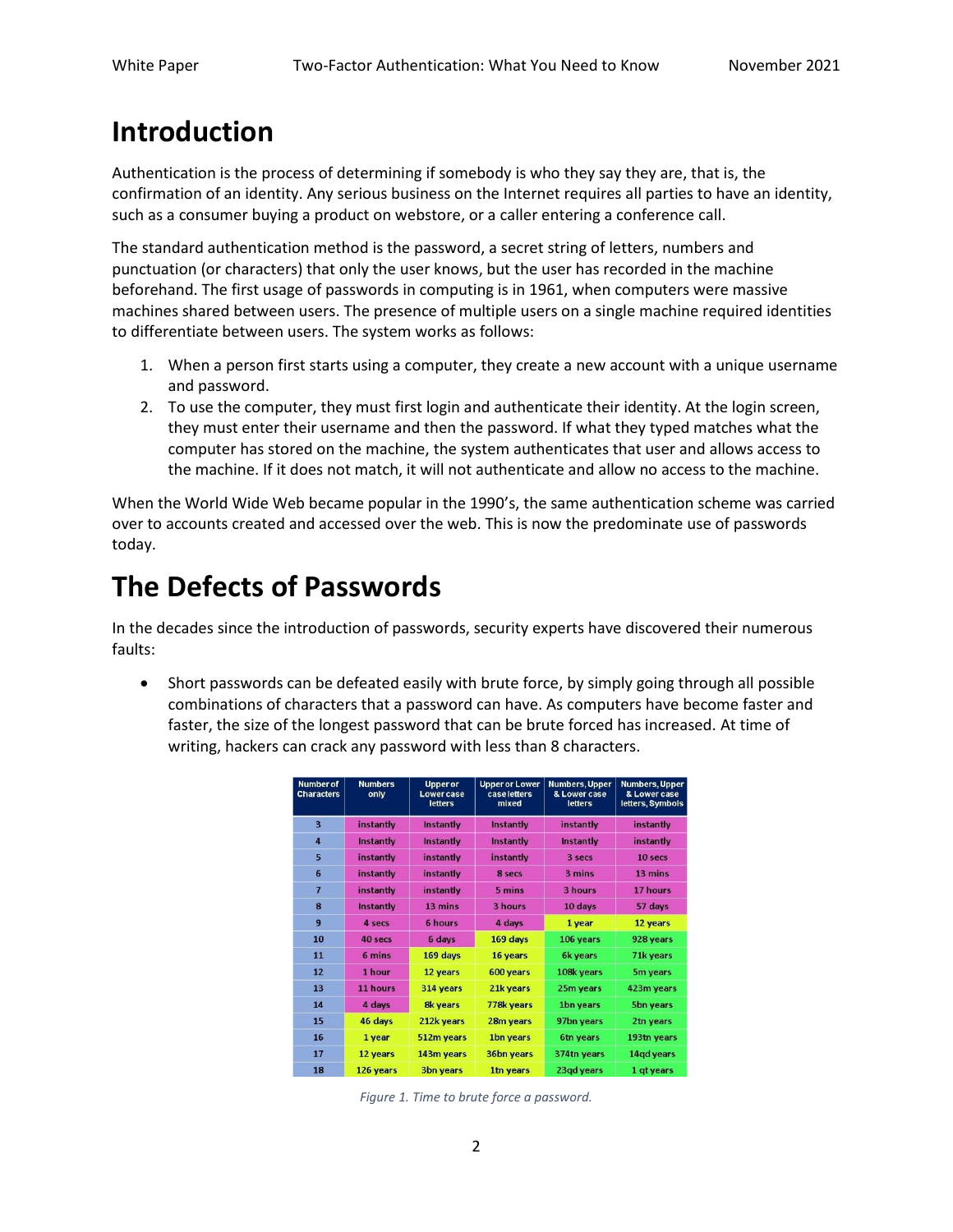### **Introduction**

Authentication is the process of determining if somebody is who they say they are, that is, the confirmation of an identity. Any serious business on the Internet requires all parties to have an identity, such as a consumer buying a product on webstore, or a caller entering a conference call.

The standard authentication method is the password, a secret string of letters, numbers and punctuation (or characters) that only the user knows, but the user has recorded in the machine beforehand. The first usage of passwords in computing is in 1961, when computers were massive machines shared between users. The presence of multiple users on a single machine required identities to differentiate between users. The system works as follows:

- 1. When a person first starts using a computer, they create a new account with a unique username and password.
- 2. To use the computer, they must first login and authenticate their identity. At the login screen, they must enter their username and then the password. If what they typed matches what the computer has stored on the machine, the system authenticates that user and allows access to the machine. If it does not match, it will not authenticate and allow no access to the machine.

When the World Wide Web became popular in the 1990's, the same authentication scheme was carried over to accounts created and accessed over the web. This is now the predominate use of passwords today.

### **The Defects of Passwords**

In the decades since the introduction of passwords, security experts have discovered their numerous faults:

• Short passwords can be defeated easily with brute force, by simply going through all possible combinations of characters that a password can have. As computers have become faster and faster, the size of the longest password that can be brute forced has increased. At time of writing, hackers can crack any password with less than 8 characters.

| <b>Number of</b><br><b>Characters</b> | <b>Numbers</b><br>only | <b>Upper or</b><br><b>Lowercase</b><br><b>letters</b> | <b>Upper or Lower</b><br>case letters<br>mixed | <b>Numbers, Upper</b><br>& Lower case<br><b>letters</b> | <b>Numbers, Upper</b><br>& Lower case<br>letters, Symbols |
|---------------------------------------|------------------------|-------------------------------------------------------|------------------------------------------------|---------------------------------------------------------|-----------------------------------------------------------|
| $\overline{\mathbf{3}}$               | instantly              | <b>Instantly</b>                                      | Instantly                                      | instantly                                               | instantly                                                 |
| $\overline{4}$                        | <b>Instantly</b>       | <b>Instantly</b>                                      | <b>Instantly</b>                               | <b>Instantly</b>                                        | instantly                                                 |
| 5                                     | instantly              | instantly                                             | instantly                                      | 3 secs                                                  | 10 secs                                                   |
| 6                                     | instantly              | instantly                                             | 8 secs                                         | 3 mins                                                  | 13 mins                                                   |
| $\overline{7}$                        | instantly              | instantly                                             | 5 mins                                         | 3 hours                                                 | 17 hours                                                  |
| 8                                     | <b>Instantly</b>       | 13 mins                                               | 3 hours                                        | 10 days                                                 | 57 days                                                   |
| $\overline{9}$                        | 4 secs                 | 6 hours                                               | 4 days                                         | 1 year                                                  | 12 years                                                  |
| 10                                    | 40 secs                | 6 days                                                | 169 days                                       | 106 years                                               | 928 years                                                 |
| 11                                    | 6 mins                 | 169 days                                              | 16 years                                       | <b>6k vears</b>                                         | 71k years                                                 |
| 12                                    | 1 hour                 | 12 years                                              | 600 years                                      | 108k years                                              | 5m years                                                  |
| 13                                    | 11 hours               | 314 years                                             | 21k years                                      | 25m years                                               | 423m years                                                |
| 14                                    | 4 days                 | <b>8k years</b>                                       | 778k years                                     | 1bn years                                               | <b>5bn years</b>                                          |
| 15                                    | 46 days                | 212k years                                            | 28m years                                      | 97bn years                                              | 2tn years                                                 |
| 16                                    | 1 year                 | 512m years                                            | 1bn years                                      | 6tn years                                               | 193tn years                                               |
| 17                                    | 12 years               | 143m vears                                            | <b>36bn years</b>                              | 374tn years                                             | 14gd years                                                |
| 18                                    | 126 years              | <b>3bn vears</b>                                      | 1tn years                                      | 23ad vears                                              | 1 at years                                                |

*Figure 1. Time to brute force a password.*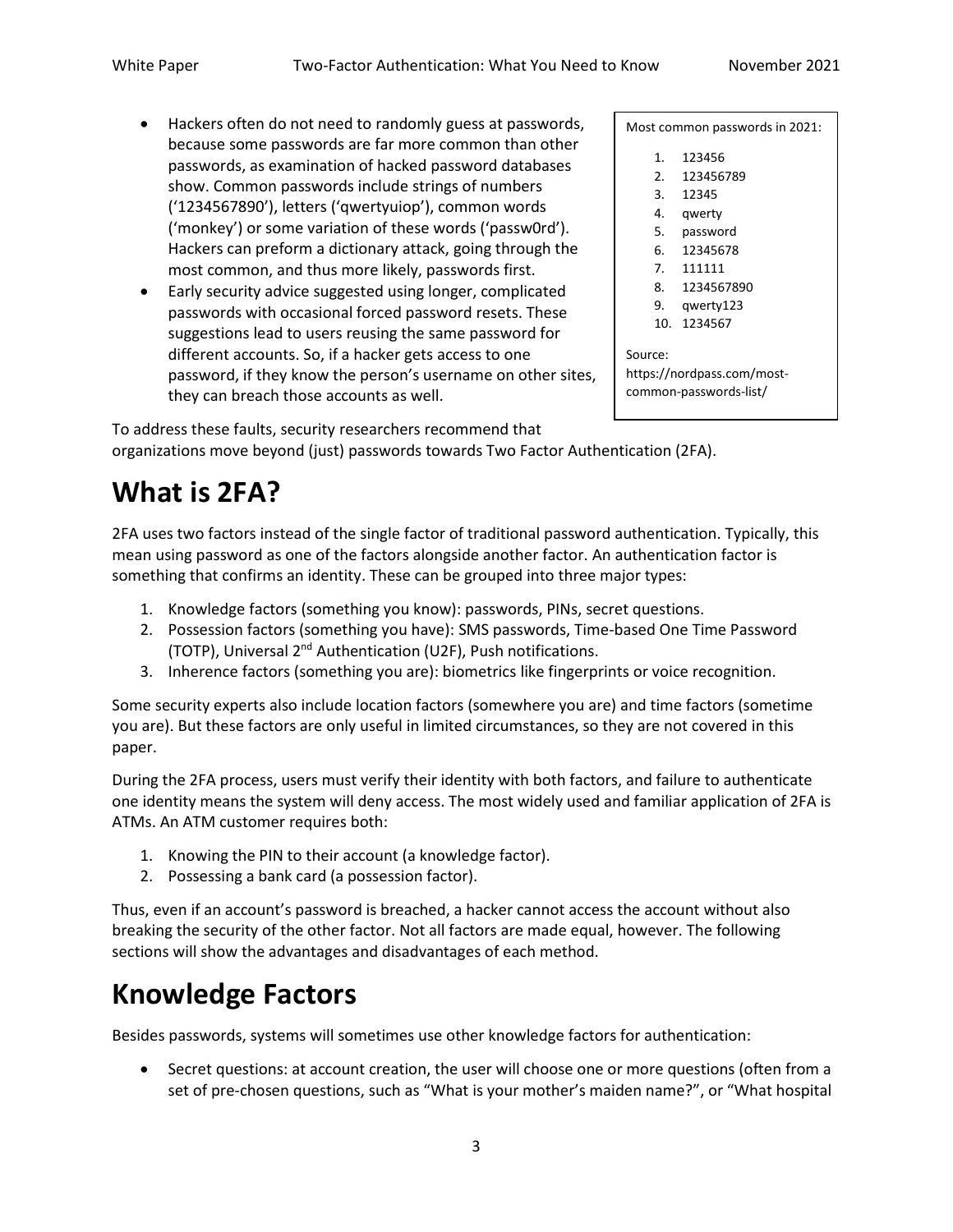- Hackers often do not need to randomly guess at passwords, because some passwords are far more common than other passwords, as examination of hacked password databases show. Common passwords include strings of numbers ('1234567890'), letters ('qwertyuiop'), common words ('monkey') or some variation of these words ('passw0rd'). Hackers can preform a dictionary attack, going through the most common, and thus more likely, passwords first.
- Early security advice suggested using longer, complicated passwords with occasional forced password resets. These suggestions lead to users reusing the same password for different accounts. So, if a hacker gets access to one password, if they know the person's username on other sites, they can breach those accounts as well.

Most common passwords in 2021:

- 1. 123456
- 2. 123456789
- 3. 12345
- 4. qwerty
- 5. password
- 6. 12345678
- 7. 111111
- 8. 1234567890
- 9. qwerty123
- 10. 1234567

Source:

https://nordpass.com/mostcommon-passwords-list/

To address these faults, security researchers recommend that organizations move beyond (just) passwords towards Two Factor Authentication (2FA).

## **What is 2FA?**

2FA uses two factors instead of the single factor of traditional password authentication. Typically, this mean using password as one of the factors alongside another factor. An authentication factor is something that confirms an identity. These can be grouped into three major types:

- 1. Knowledge factors (something you know): passwords, PINs, secret questions.
- 2. Possession factors (something you have): SMS passwords, Time-based One Time Password (TOTP), Universal  $2^{nd}$  Authentication (U2F), Push notifications.
- 3. Inherence factors (something you are): biometrics like fingerprints or voice recognition.

Some security experts also include location factors (somewhere you are) and time factors (sometime you are). But these factors are only useful in limited circumstances, so they are not covered in this paper.

During the 2FA process, users must verify their identity with both factors, and failure to authenticate one identity means the system will deny access. The most widely used and familiar application of 2FA is ATMs. An ATM customer requires both:

- 1. Knowing the PIN to their account (a knowledge factor).
- 2. Possessing a bank card (a possession factor).

Thus, even if an account's password is breached, a hacker cannot access the account without also breaking the security of the other factor. Not all factors are made equal, however. The following sections will show the advantages and disadvantages of each method.

## **Knowledge Factors**

Besides passwords, systems will sometimes use other knowledge factors for authentication:

• Secret questions: at account creation, the user will choose one or more questions (often from a set of pre-chosen questions, such as "What is your mother's maiden name?", or "What hospital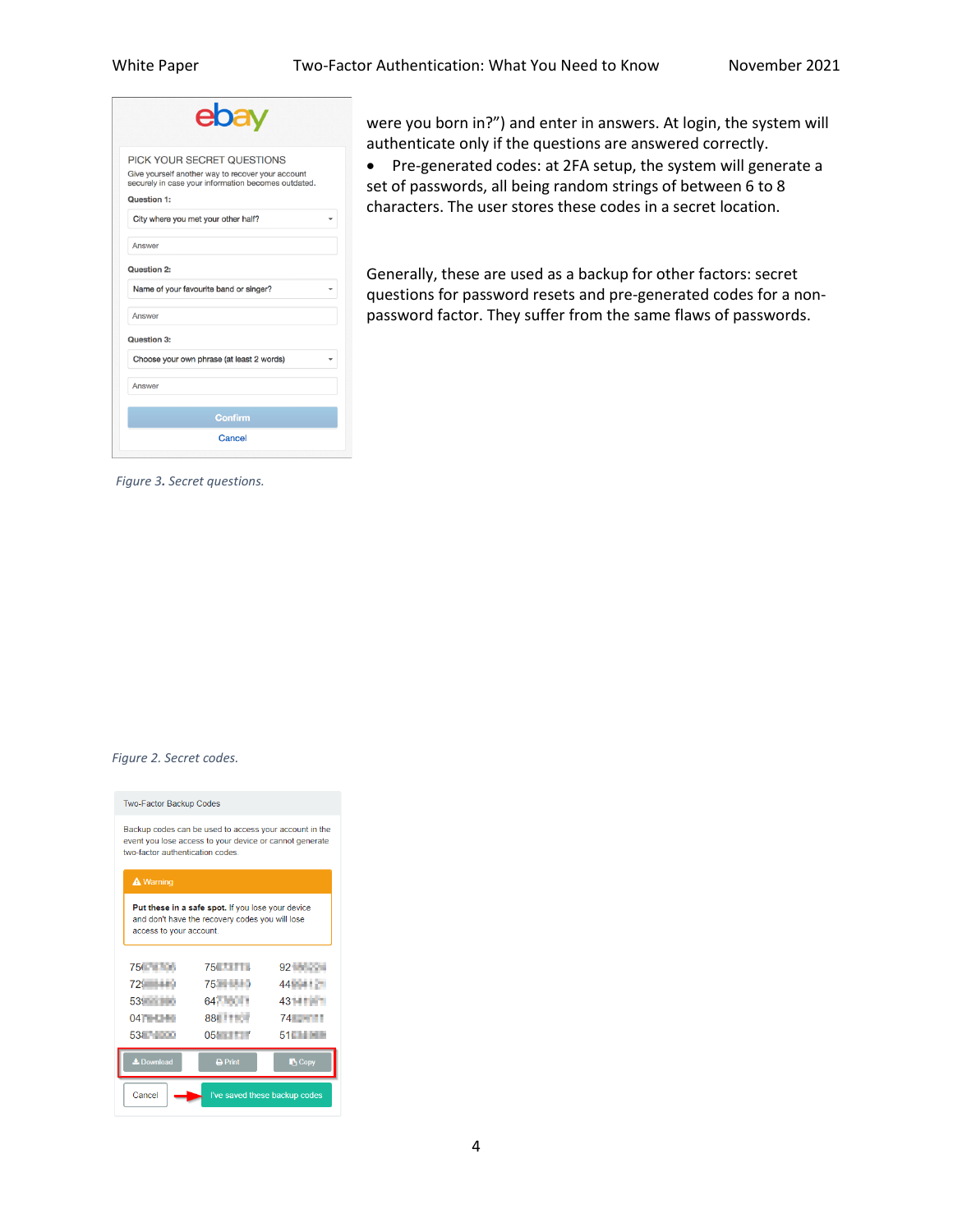| PICK YOUR SECRET QUESTIONS                                                                               |  |
|----------------------------------------------------------------------------------------------------------|--|
| Give yourself another way to recover your account<br>securely in case your information becomes outdated. |  |
| Question 1:                                                                                              |  |
| City where you met your other half?                                                                      |  |
| Answer                                                                                                   |  |
| Question 2:                                                                                              |  |
| Name of your favourite band or singer?                                                                   |  |
| Answer                                                                                                   |  |
| Question 3:                                                                                              |  |
| Choose your own phrase (at least 2 words)                                                                |  |
| Answer                                                                                                   |  |
|                                                                                                          |  |
| Confirm                                                                                                  |  |

were you born in?") and enter in answers. At login, the system will authenticate only if the questions are answered correctly.

• Pre-generated codes: at 2FA setup, the system will generate a set of passwords, all being random strings of between 6 to 8 characters. The user stores these codes in a secret location.

Generally, these are used as a backup for other factors: secret questions for password resets and pre-generated codes for a nonpassword factor. They suffer from the same flaws of passwords.

*Figure 3. Secret questions.*

#### *Figure 2. Secret codes.*

| <b>Two-Factor Backup Codes</b>                                                                                                                       |                     |               |  |  |  |
|------------------------------------------------------------------------------------------------------------------------------------------------------|---------------------|---------------|--|--|--|
| Backup codes can be used to access your account in the<br>event you lose access to your device or cannot generate<br>two-factor authentication codes |                     |               |  |  |  |
| <b>A</b> Warning                                                                                                                                     |                     |               |  |  |  |
| Put these in a safe spot. If you lose your device<br>and don't have the recovery codes you will lose<br>access to your account.                      |                     |               |  |  |  |
| 756 T. L.                                                                                                                                            | 750 100 100         | 92            |  |  |  |
| $729 - 119$                                                                                                                                          |                     | 44 - 12       |  |  |  |
| 539 - 10                                                                                                                                             | 647 <b>10 1</b>     | 431-11-12     |  |  |  |
| $04$ $\blacksquare$                                                                                                                                  | <b>881 11 12 11</b> | 74 - 1        |  |  |  |
| 538 100                                                                                                                                              | 05!                 | 51 H          |  |  |  |
| <b>L</b> Download                                                                                                                                    | <b>A</b> Print      | <b>B</b> Copy |  |  |  |
| Cancel<br>I've saved these backup codes                                                                                                              |                     |               |  |  |  |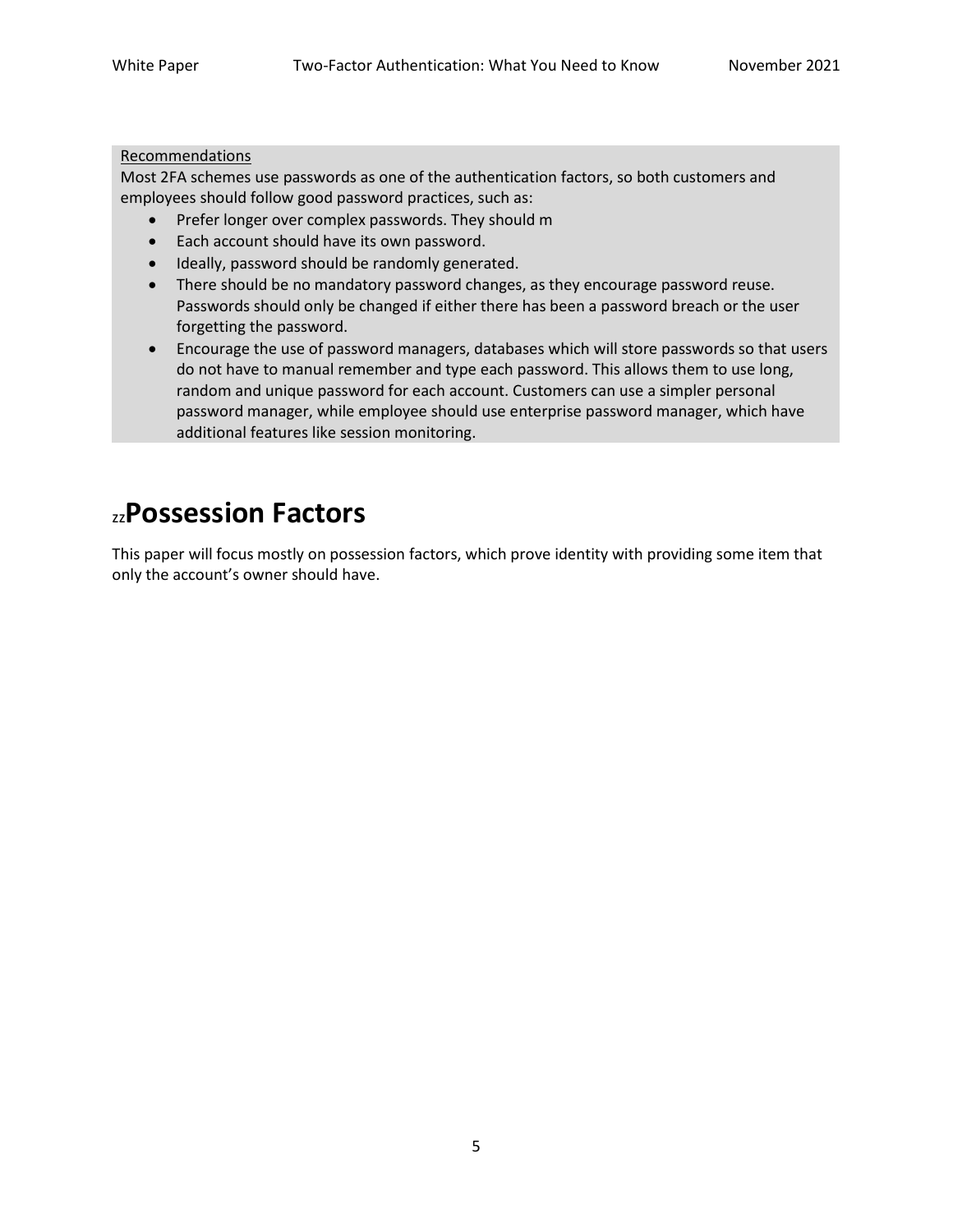### Recommendations

Most 2FA schemes use passwords as one of the authentication factors, so both customers and employees should follow good password practices, such as:

- Prefer longer over complex passwords. They should m
- Each account should have its own password.
- Ideally, password should be randomly generated.
- There should be no mandatory password changes, as they encourage password reuse. Passwords should only be changed if either there has been a password breach or the user forgetting the password.
- Encourage the use of password managers, databases which will store passwords so that users do not have to manual remember and type each password. This allows them to use long, random and unique password for each account. Customers can use a simpler personal password manager, while employee should use enterprise password manager, which have additional features like session monitoring.

### zz**Possession Factors**

This paper will focus mostly on possession factors, which prove identity with providing some item that only the account's owner should have.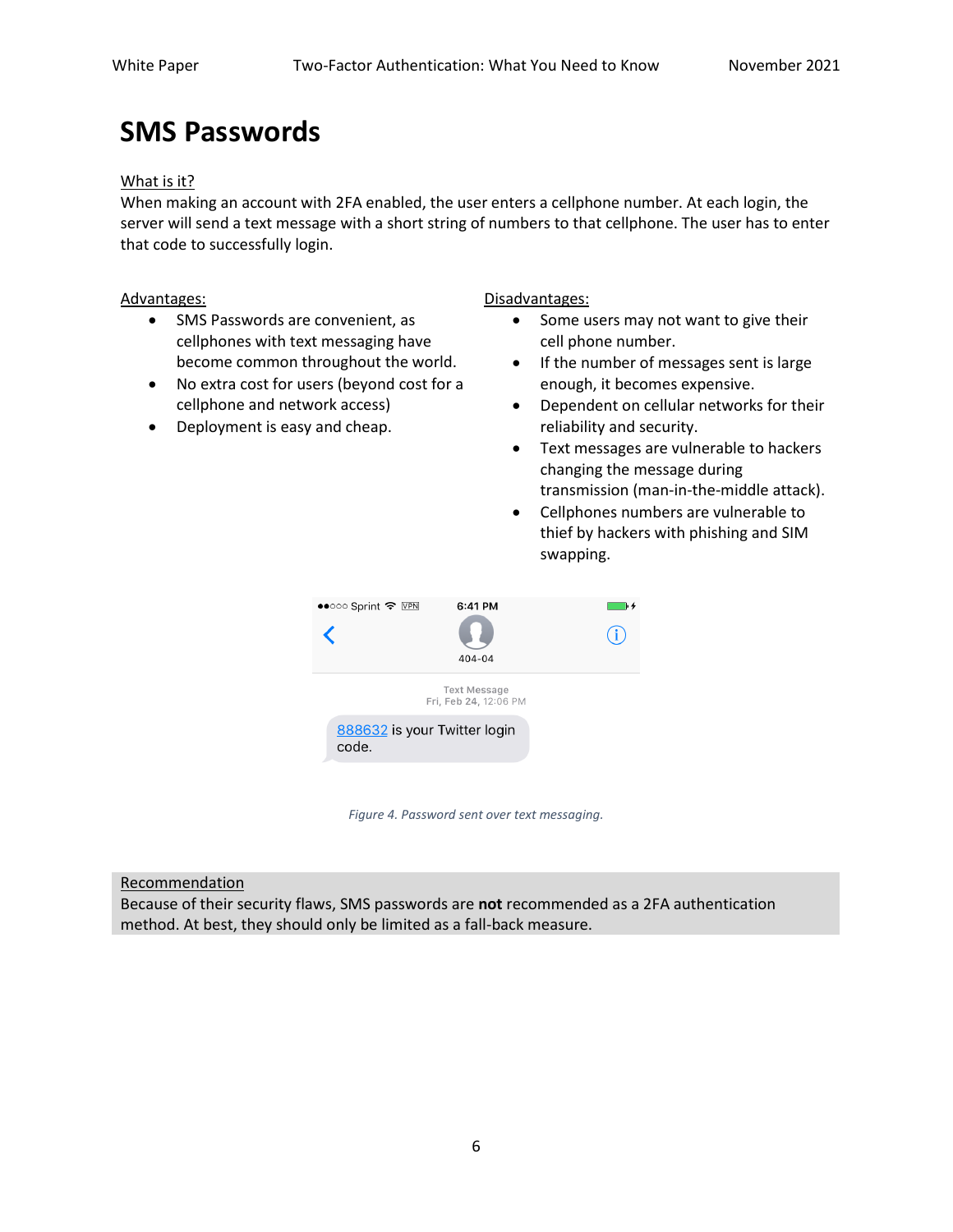### **SMS Passwords**

#### What is it?

When making an account with 2FA enabled, the user enters a cellphone number. At each login, the server will send a text message with a short string of numbers to that cellphone. The user has to enter that code to successfully login.

- SMS Passwords are convenient, as cellphones with text messaging have become common throughout the world.
- No extra cost for users (beyond cost for a cellphone and network access)
- Deployment is easy and cheap.

Advantages: **Advantages: Disadvantages: Disadvantages:** 

- Some users may not want to give their cell phone number.
- If the number of messages sent is large enough, it becomes expensive.
- Dependent on cellular networks for their reliability and security.
- Text messages are vulnerable to hackers changing the message during transmission (man-in-the-middle attack).
- Cellphones numbers are vulnerable to thief by hackers with phishing and SIM swapping.



*Figure 4. Password sent over text messaging.*

### Recommendation

Because of their security flaws, SMS passwords are **not** recommended as a 2FA authentication method. At best, they should only be limited as a fall-back measure.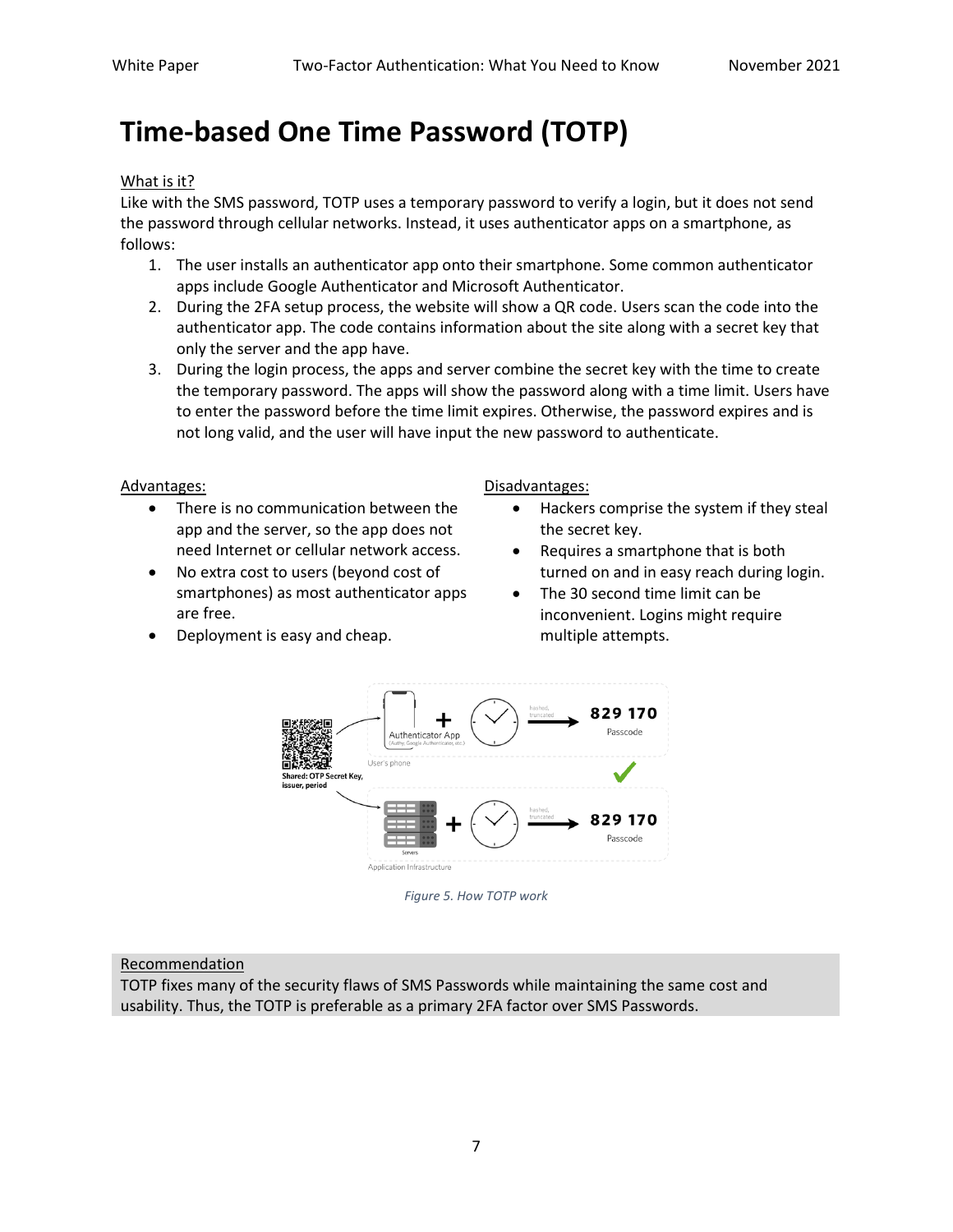### **Time-based One Time Password (TOTP)**

#### What is it?

Like with the SMS password, TOTP uses a temporary password to verify a login, but it does not send the password through cellular networks. Instead, it uses authenticator apps on a smartphone, as follows:

- 1. The user installs an authenticator app onto their smartphone. Some common authenticator apps include Google Authenticator and Microsoft Authenticator.
- 2. During the 2FA setup process, the website will show a QR code. Users scan the code into the authenticator app. The code contains information about the site along with a secret key that only the server and the app have.
- 3. During the login process, the apps and server combine the secret key with the time to create the temporary password. The apps will show the password along with a time limit. Users have to enter the password before the time limit expires. Otherwise, the password expires and is not long valid, and the user will have input the new password to authenticate.

Advantages: **Advantages: Disadvantages: Disadvantages:** 

- There is no communication between the app and the server, so the app does not need Internet or cellular network access.
- No extra cost to users (beyond cost of smartphones) as most authenticator apps are free.
	- Deployment is easy and cheap.

• Hackers comprise the system if they steal

- the secret key. • Requires a smartphone that is both turned on and in easy reach during login.
- The 30 second time limit can be inconvenient. Logins might require multiple attempts.



*Figure 5. How TOTP work*

#### Recommendation

TOTP fixes many of the security flaws of SMS Passwords while maintaining the same cost and usability. Thus, the TOTP is preferable as a primary 2FA factor over SMS Passwords.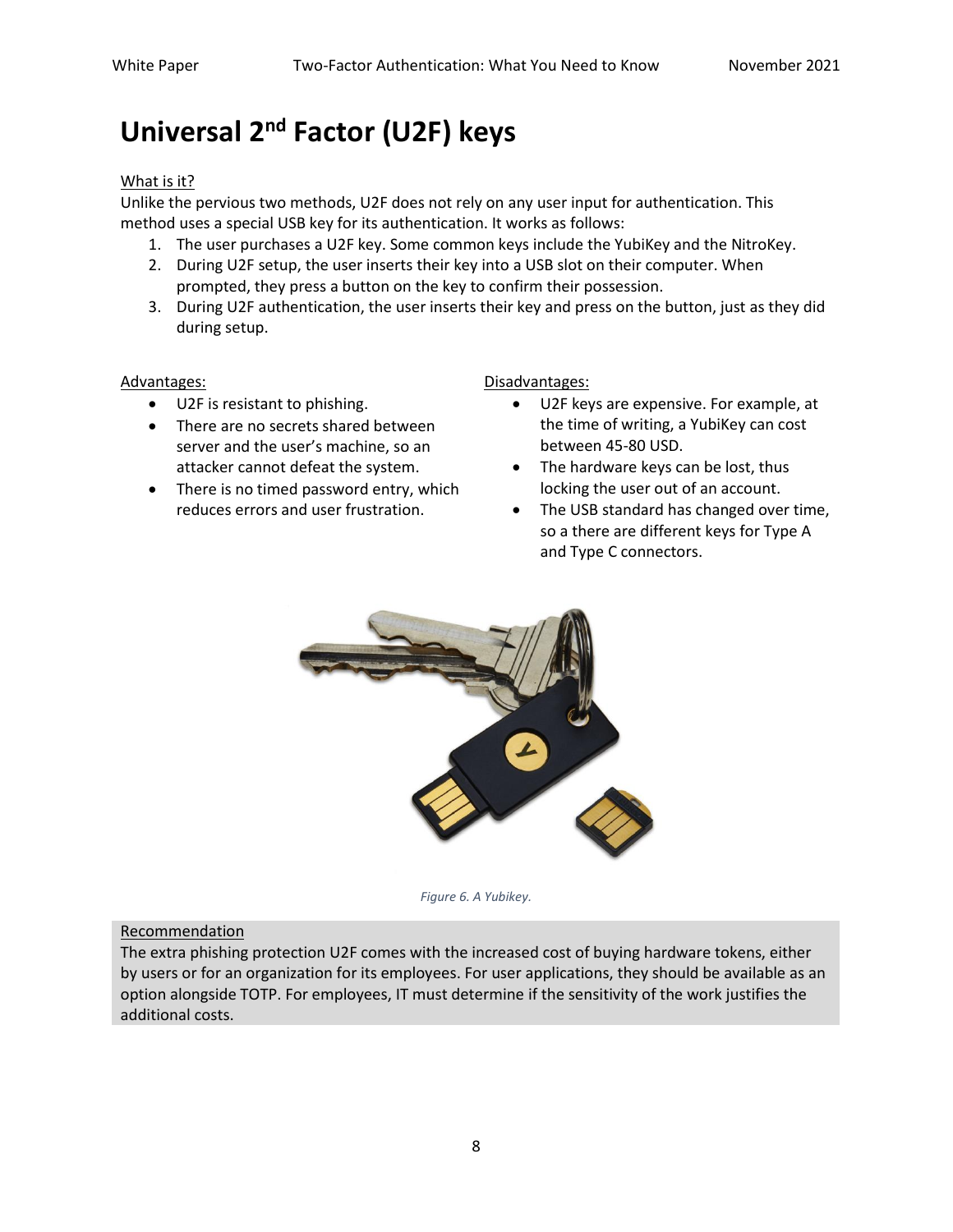### **Universal 2nd Factor (U2F) keys**

### What is it?

Unlike the pervious two methods, U2F does not rely on any user input for authentication. This method uses a special USB key for its authentication. It works as follows:

- 1. The user purchases a U2F key. Some common keys include the YubiKey and the NitroKey.
- 2. During U2F setup, the user inserts their key into a USB slot on their computer. When prompted, they press a button on the key to confirm their possession.
- 3. During U2F authentication, the user inserts their key and press on the button, just as they did during setup.

- U2F is resistant to phishing.
- There are no secrets shared between server and the user's machine, so an attacker cannot defeat the system.
- There is no timed password entry, which reduces errors and user frustration.

Advantages: and the control of the control of the Disadvantages:

- U2F keys are expensive. For example, at the time of writing, a YubiKey can cost between 45-80 USD.
- The hardware keys can be lost, thus locking the user out of an account.
- The USB standard has changed over time, so a there are different keys for Type A and Type C connectors.



*Figure 6. A Yubikey.*

#### Recommendation

The extra phishing protection U2F comes with the increased cost of buying hardware tokens, either by users or for an organization for its employees. For user applications, they should be available as an option alongside TOTP. For employees, IT must determine if the sensitivity of the work justifies the additional costs.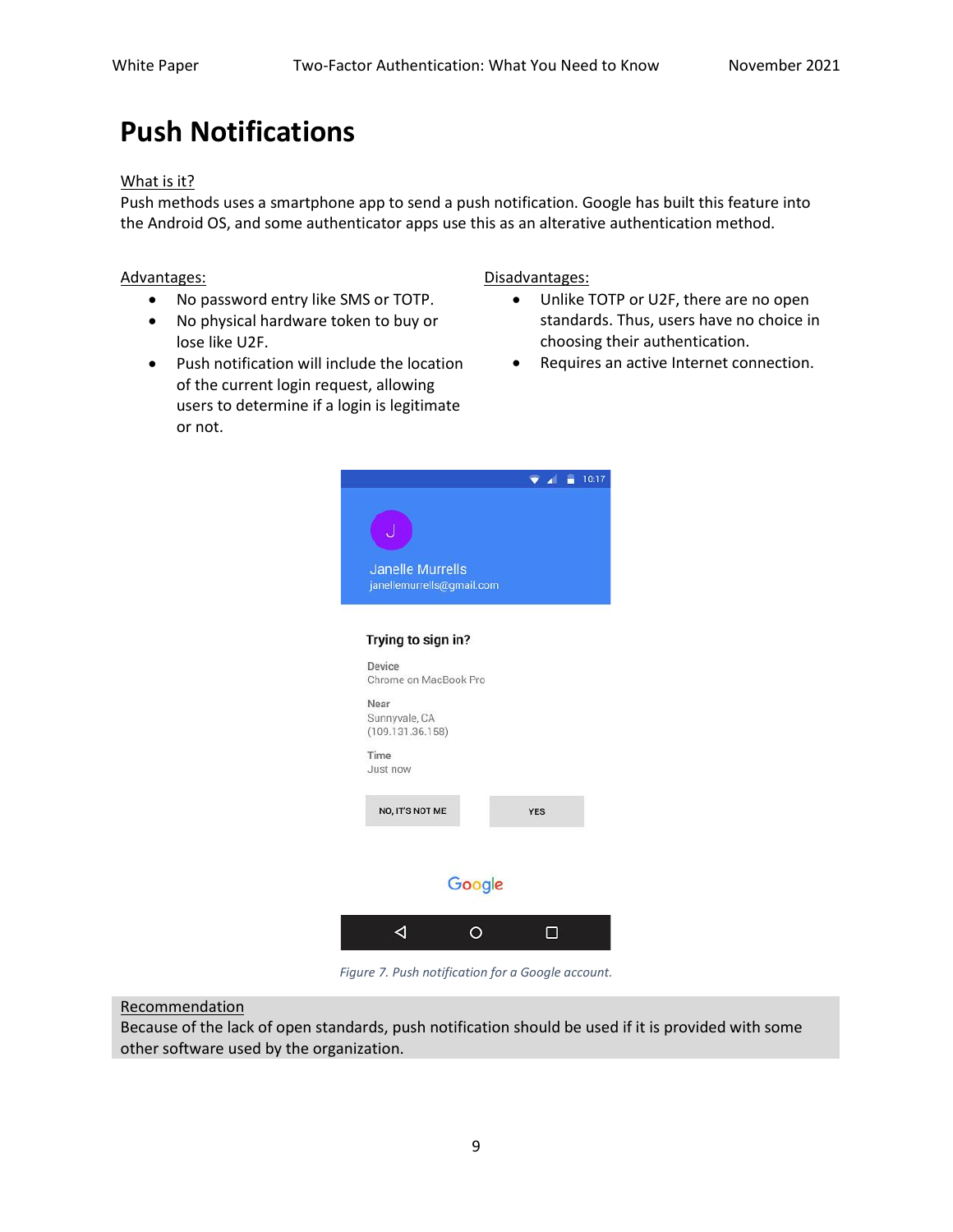### **Push Notifications**

#### What is it?

Push methods uses a smartphone app to send a push notification. Google has built this feature into the Android OS, and some authenticator apps use this as an alterative authentication method.

- No password entry like SMS or TOTP.
- No physical hardware token to buy or lose like U2F.
- Push notification will include the location of the current login request, allowing users to determine if a login is legitimate or not.

Advantages: **Disadvantages: Disadvantages:** 

- Unlike TOTP or U2F, there are no open standards. Thus, users have no choice in choosing their authentication.
- Requires an active Internet connection.



*Figure 7. Push notification for a Google account.*

### Recommendation

Because of the lack of open standards, push notification should be used if it is provided with some other software used by the organization.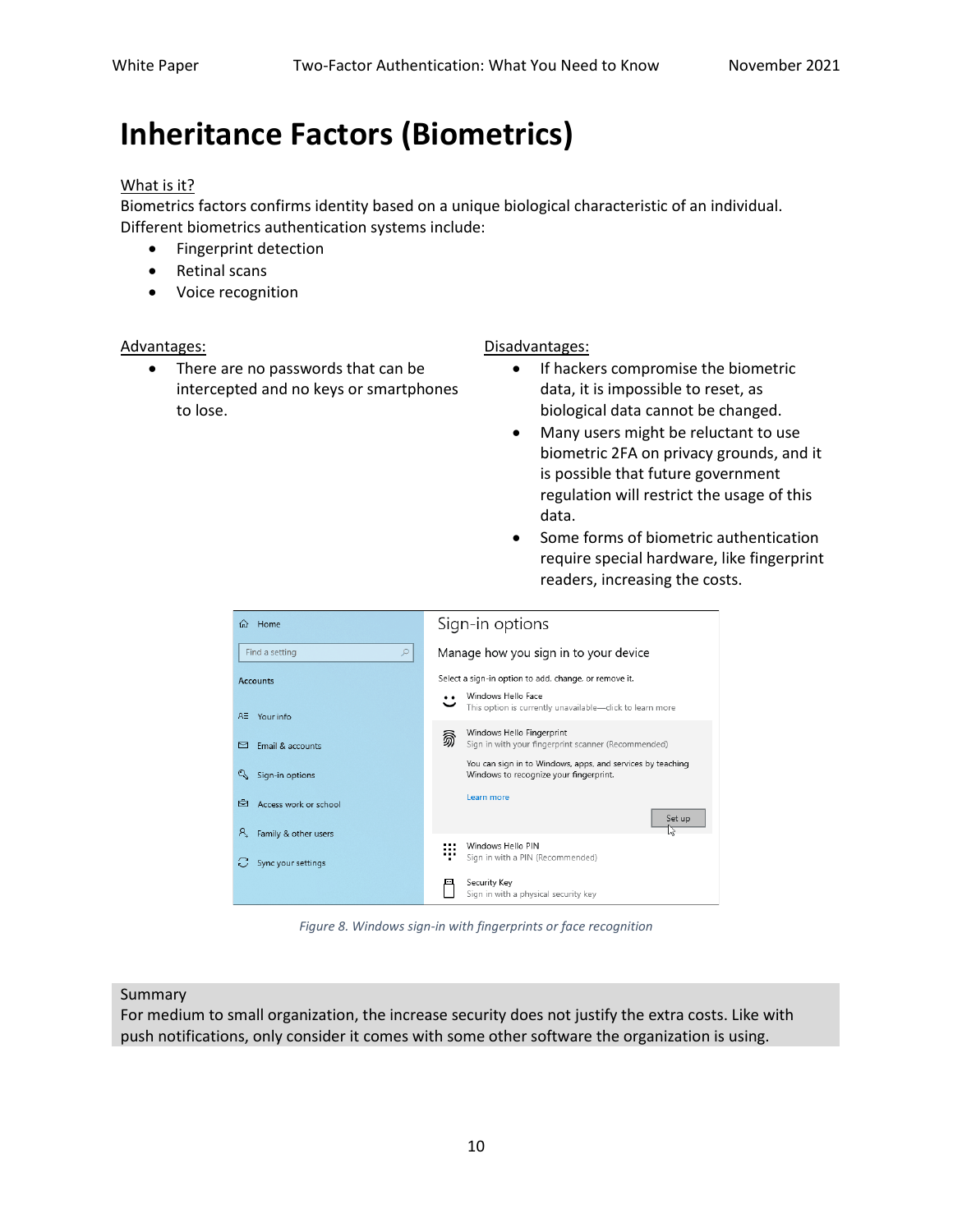## **Inheritance Factors (Biometrics)**

#### What is it?

Biometrics factors confirms identity based on a unique biological characteristic of an individual. Different biometrics authentication systems include:

- Fingerprint detection
- Retinal scans
- Voice recognition

• There are no passwords that can be intercepted and no keys or smartphones to lose.

#### Advantages: **Advantages: Disadvantages: Disadvantages:**

- If hackers compromise the biometric data, it is impossible to reset, as biological data cannot be changed.
- Many users might be reluctant to use biometric 2FA on privacy grounds, and it is possible that future government regulation will restrict the usage of this data.
- Some forms of biometric authentication require special hardware, like fingerprint readers, increasing the costs.

| Home<br>夼                  | Sign-in options                                                                                      |  |  |
|----------------------------|------------------------------------------------------------------------------------------------------|--|--|
| Find a setting<br>Q        | Manage how you sign in to your device                                                                |  |  |
| <b>Accounts</b>            | Select a sign-in option to add, change, or remove it.                                                |  |  |
| RΞ<br>Your info            | Windows Hello Face<br>This option is currently unavailable-click to learn more                       |  |  |
| Email & accounts<br>罓      | Windows Hello Fingerprint<br>翕<br>Sign in with your fingerprint scanner (Recommended)                |  |  |
| Q<br>Sign-in options       | You can sign in to Windows, apps, and services by teaching<br>Windows to recognize your fingerprint. |  |  |
| Access work or school<br>☜ | Learn more                                                                                           |  |  |
| я.<br>Family & other users | Set up                                                                                               |  |  |
| Sync your settings         | Windows Hello PIN<br>Sign in with a PIN (Recommended)                                                |  |  |
|                            | Security Key<br>Sign in with a physical security key                                                 |  |  |

*Figure 8. Windows sign-in with fingerprints or face recognition*

#### Summary

For medium to small organization, the increase security does not justify the extra costs. Like with push notifications, only consider it comes with some other software the organization is using.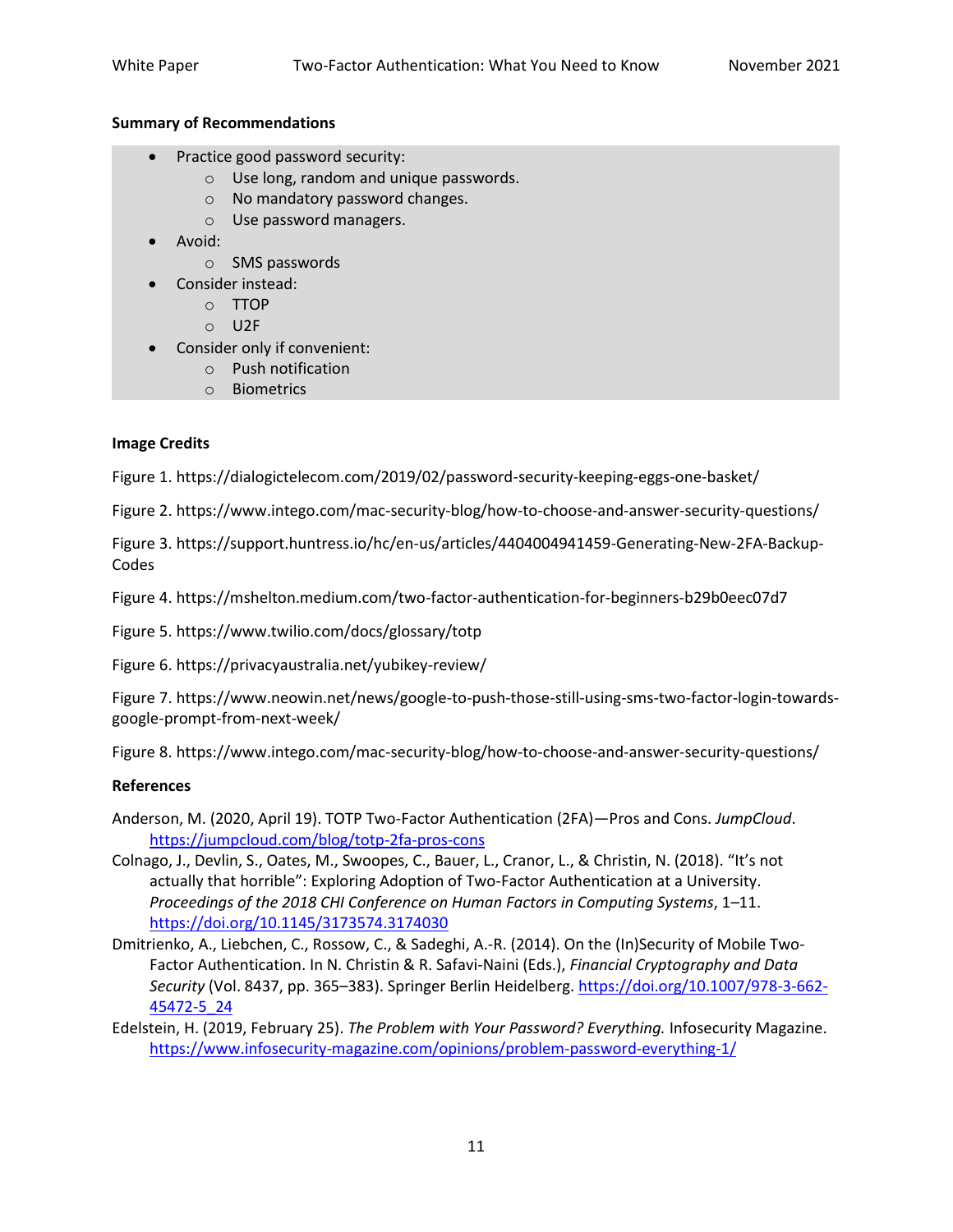#### **Summary of Recommendations**

- Practice good password security:
	- o Use long, random and unique passwords.
	- o No mandatory password changes.
	- o Use password managers.
- Avoid:
	- o SMS passwords
- Consider instead:
	- o TTOP
	- o U2F
- Consider only if convenient:
	- o Push notification
	- o Biometrics

#### **Image Credits**

Figure 1. https://dialogictelecom.com/2019/02/password-security-keeping-eggs-one-basket/

Figure 2. https://www.intego.com/mac-security-blog/how-to-choose-and-answer-security-questions/

Figure 3. https://support.huntress.io/hc/en-us/articles/4404004941459-Generating-New-2FA-Backup-Codes

Figure 4. https://mshelton.medium.com/two-factor-authentication-for-beginners-b29b0eec07d7

Figure 5. https://www.twilio.com/docs/glossary/totp

Figure 6. https://privacyaustralia.net/yubikey-review/

Figure 7. https://www.neowin.net/news/google-to-push-those-still-using-sms-two-factor-login-towardsgoogle-prompt-from-next-week/

Figure 8. https://www.intego.com/mac-security-blog/how-to-choose-and-answer-security-questions/

### **References**

- Anderson, M. (2020, April 19). TOTP Two-Factor Authentication (2FA)—Pros and Cons. *JumpCloud*. <https://jumpcloud.com/blog/totp-2fa-pros-cons>
- Colnago, J., Devlin, S., Oates, M., Swoopes, C., Bauer, L., Cranor, L., & Christin, N. (2018). "It's not actually that horrible": Exploring Adoption of Two-Factor Authentication at a University. *Proceedings of the 2018 CHI Conference on Human Factors in Computing Systems*, 1–11. <https://doi.org/10.1145/3173574.3174030>
- Dmitrienko, A., Liebchen, C., Rossow, C., & Sadeghi, A.-R. (2014). On the (In)Security of Mobile Two-Factor Authentication. In N. Christin & R. Safavi-Naini (Eds.), *Financial Cryptography and Data Security* (Vol. 8437, pp. 365–383). Springer Berlin Heidelberg[. https://doi.org/10.1007/978-3-662-](https://doi.org/10.1007/978-3-662-45472-5_24) [45472-5\\_24](https://doi.org/10.1007/978-3-662-45472-5_24)
- Edelstein, H. (2019, February 25). *The Problem with Your Password? Everything.* Infosecurity Magazine. <https://www.infosecurity-magazine.com/opinions/problem-password-everything-1/>